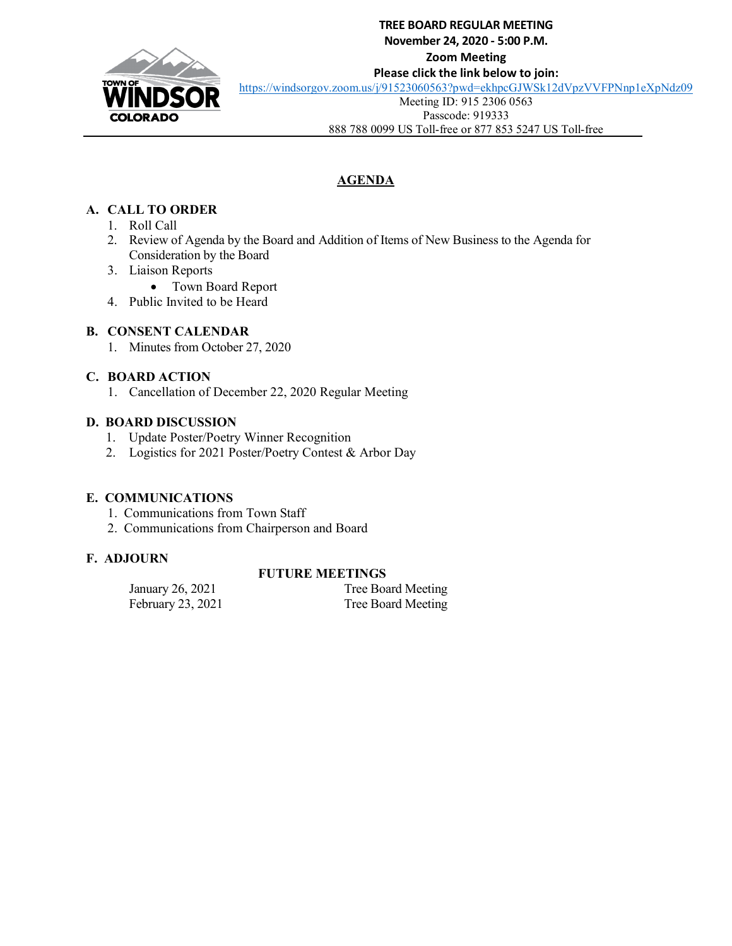

# **TREE BOARD REGULAR MEETING November 24, 2020 - 5:00 P.M. Zoom Meeting Please click the link below to join:**

<https://windsorgov.zoom.us/j/91523060563?pwd=ekhpcGJWSk12dVpzVVFPNnp1eXpNdz09>

Meeting ID: 915 2306 0563

Passcode: 919333

888 788 0099 US Toll-free or 877 853 5247 US Toll-free

# **AGENDA**

# **A. CALL TO ORDER**

- 1. Roll Call
- 2. Review of Agenda by the Board and Addition of Items of New Business to the Agenda for Consideration by the Board
- 3. Liaison Reports
	- Town Board Report
- 4. Public Invited to be Heard

# **B. CONSENT CALENDAR**

1. Minutes from October 27, 2020

# **C. BOARD ACTION**

1. Cancellation of December 22, 2020 Regular Meeting

# **D. BOARD DISCUSSION**

- 1. Update Poster/Poetry Winner Recognition
- 2. Logistics for 2021 Poster/Poetry Contest & Arbor Day

## **E. COMMUNICATIONS**

- 1. Communications from Town Staff
- 2. Communications from Chairperson and Board

# **F. ADJOURN**

# **FUTURE MEETINGS**

| January 26, 2021  | Tree Board Meeting |
|-------------------|--------------------|
| February 23, 2021 | Tree Board Meeting |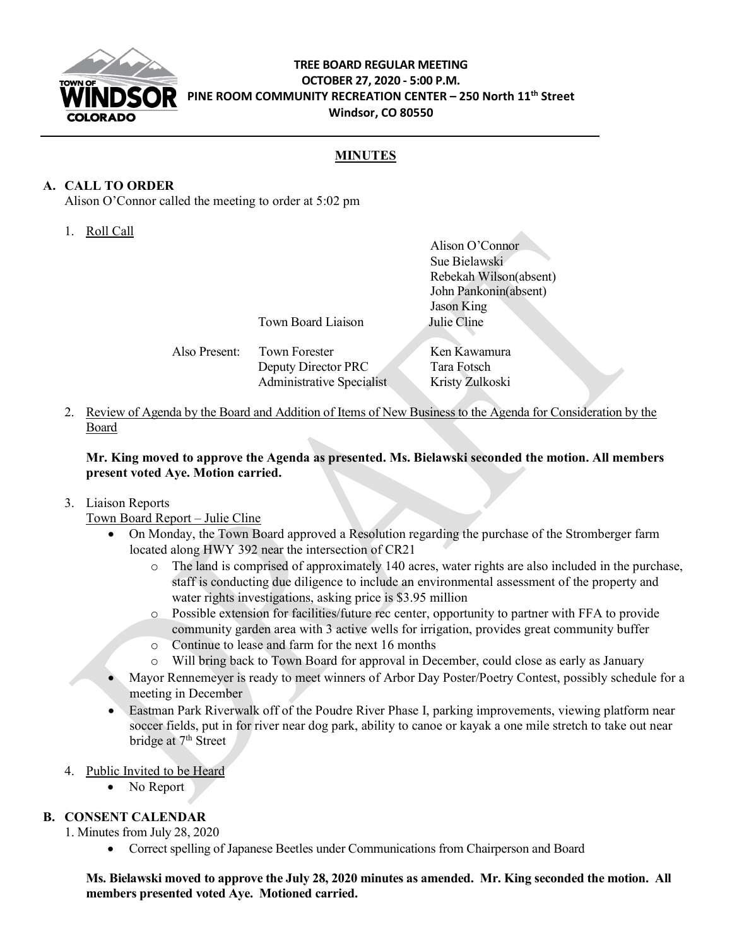

## **TREE BOARD REGULAR MEETING OCTOBER 27, 2020 - 5:00 P.M. PINE ROOM COMMUNITY RECREATION CENTER – 250 North 11th Street Windsor, CO 80550**

## **MINUTES**

## **A. CALL TO ORDER**

Alison O'Connor called the meeting to order at 5:02 pm

1. Roll Call

|               |                           | Alison O'Connor        |
|---------------|---------------------------|------------------------|
|               |                           | Sue Bielawski          |
|               |                           | Rebekah Wilson(absent) |
|               |                           | John Pankonin(absent)  |
|               |                           | Jason King             |
|               | Town Board Liaison        | Julie Cline            |
|               |                           |                        |
| Also Present: | <b>Town Forester</b>      | Ken Kawamura           |
|               | Deputy Director PRC       | Tara Fotsch            |
|               | Administrative Specialist | Kristy Zulkoski        |

2. Review of Agenda by the Board and Addition of Items of New Business to the Agenda for Consideration by the Board

**Mr. King moved to approve the Agenda as presented. Ms. Bielawski seconded the motion. All members present voted Aye. Motion carried.** 

3. Liaison Reports

Town Board Report – Julie Cline

- On Monday, the Town Board approved a Resolution regarding the purchase of the Stromberger farm located along HWY 392 near the intersection of CR21
	- o The land is comprised of approximately 140 acres, water rights are also included in the purchase, staff is conducting due diligence to include an environmental assessment of the property and water rights investigations, asking price is \$3.95 million
	- o Possible extension for facilities/future rec center, opportunity to partner with FFA to provide community garden area with 3 active wells for irrigation, provides great community buffer
	- o Continue to lease and farm for the next 16 months
	- o Will bring back to Town Board for approval in December, could close as early as January
- Mayor Rennemeyer is ready to meet winners of Arbor Day Poster/Poetry Contest, possibly schedule for a meeting in December
- Eastman Park Riverwalk off of the Poudre River Phase I, parking improvements, viewing platform near soccer fields, put in for river near dog park, ability to canoe or kayak a one mile stretch to take out near bridge at 7<sup>th</sup> Street
- 4. Public Invited to be Heard
	- No Report

## **B. CONSENT CALENDAR**

1. Minutes from July 28, 2020

• Correct spelling of Japanese Beetles under Communications from Chairperson and Board

**Ms. Bielawski moved to approve the July 28, 2020 minutes as amended. Mr. King seconded the motion. All members presented voted Aye. Motioned carried.**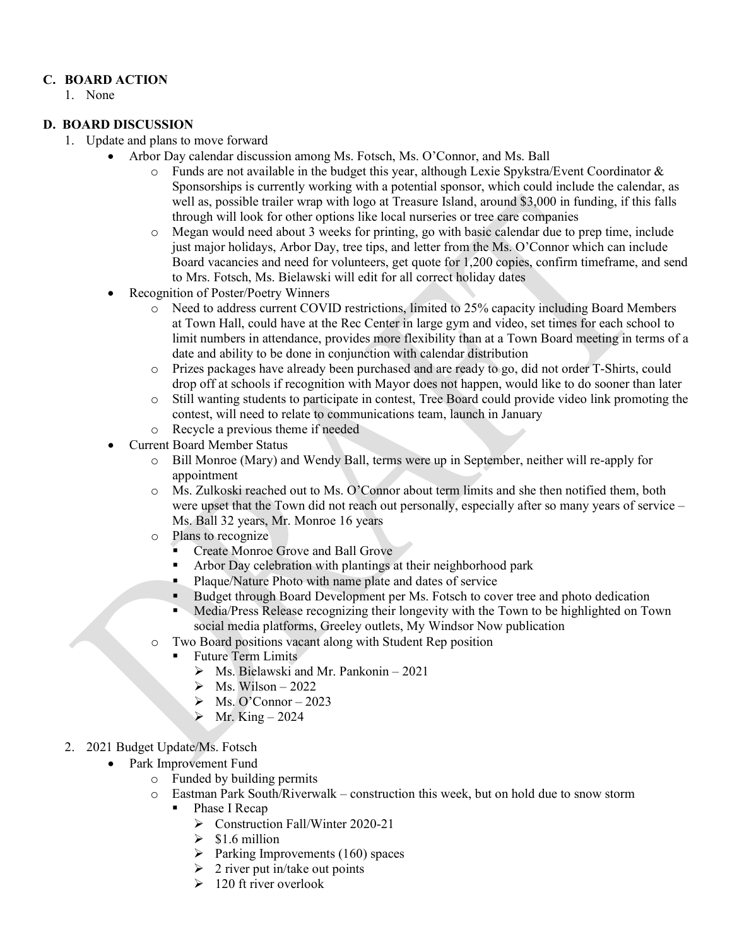## **C. BOARD ACTION**

1. None

## **D. BOARD DISCUSSION**

- 1. Update and plans to move forward
	- Arbor Day calendar discussion among Ms. Fotsch, Ms. O'Connor, and Ms. Ball
		- $\circ$  Funds are not available in the budget this year, although Lexie Spykstra/Event Coordinator & Sponsorships is currently working with a potential sponsor, which could include the calendar, as well as, possible trailer wrap with logo at Treasure Island, around \$3,000 in funding, if this falls through will look for other options like local nurseries or tree care companies
		- o Megan would need about 3 weeks for printing, go with basic calendar due to prep time, include just major holidays, Arbor Day, tree tips, and letter from the Ms. O'Connor which can include Board vacancies and need for volunteers, get quote for 1,200 copies, confirm timeframe, and send to Mrs. Fotsch, Ms. Bielawski will edit for all correct holiday dates
		- Recognition of Poster/Poetry Winners
			- o Need to address current COVID restrictions, limited to 25% capacity including Board Members at Town Hall, could have at the Rec Center in large gym and video, set times for each school to limit numbers in attendance, provides more flexibility than at a Town Board meeting in terms of a date and ability to be done in conjunction with calendar distribution
			- o Prizes packages have already been purchased and are ready to go, did not order T-Shirts, could drop off at schools if recognition with Mayor does not happen, would like to do sooner than later
			- o Still wanting students to participate in contest, Tree Board could provide video link promoting the contest, will need to relate to communications team, launch in January
			- o Recycle a previous theme if needed
		- Current Board Member Status
			- o Bill Monroe (Mary) and Wendy Ball, terms were up in September, neither will re-apply for appointment
			- o Ms. Zulkoski reached out to Ms. O'Connor about term limits and she then notified them, both were upset that the Town did not reach out personally, especially after so many years of service – Ms. Ball 32 years, Mr. Monroe 16 years
			- o Plans to recognize
				- **Create Monroe Grove and Ball Grove**
				- Arbor Day celebration with plantings at their neighborhood park
				- Plaque/Nature Photo with name plate and dates of service
				- Budget through Board Development per Ms. Fotsch to cover tree and photo dedication
				- Media/Press Release recognizing their longevity with the Town to be highlighted on Town social media platforms, Greeley outlets, My Windsor Now publication
			- o Two Board positions vacant along with Student Rep position
				- Future Term Limits
					- $\triangleright$  Ms. Bielawski and Mr. Pankonin 2021
					- $\triangleright$  Ms. Wilson 2022
					- $\triangleright$  Ms. O'Connor 2023
					- $\triangleright$  Mr. King 2024
- 2. 2021 Budget Update/Ms. Fotsch
	- Park Improvement Fund
		- o Funded by building permits
		- o Eastman Park South/Riverwalk construction this week, but on hold due to snow storm
			- Phase I Recap
				- $\triangleright$  Construction Fall/Winter 2020-21
				- $\geq$  \$1.6 million
				- $\triangleright$  Parking Improvements (160) spaces
				- $\geq$  2 river put in/take out points
				- $\geq 120$  ft river overlook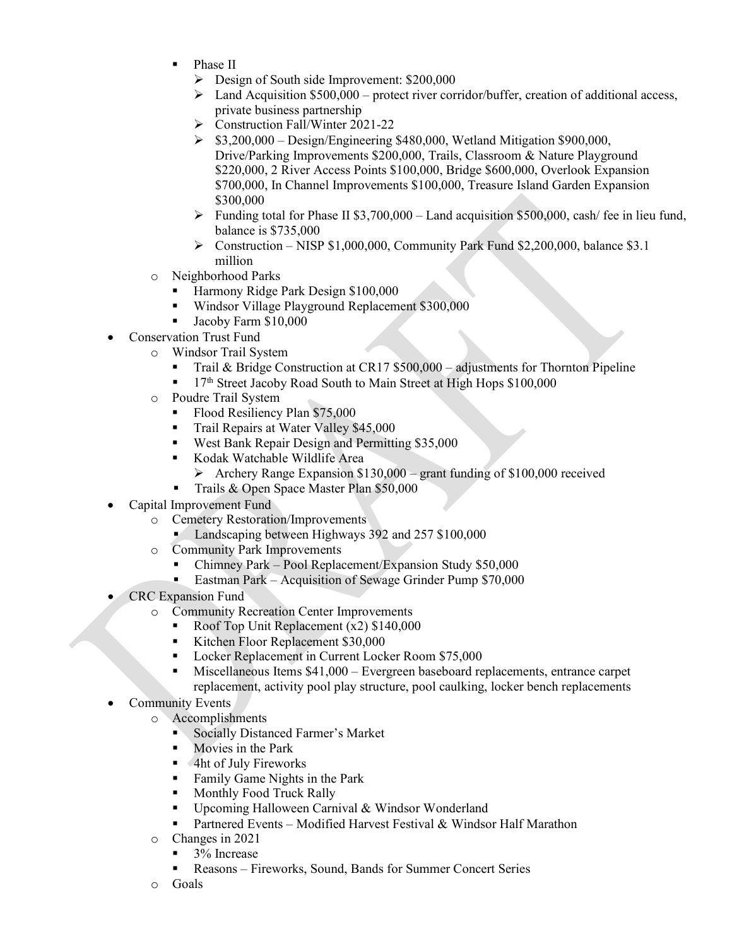- Phase II
	- $\triangleright$  Design of South side Improvement: \$200,000
	- $\triangleright$  Land Acquisition \$500,000 protect river corridor/buffer, creation of additional access, private business partnership
	- Construction Fall/Winter 2021-22
	- $\triangleright$  \$3,200,000 Design/Engineering \$480,000, Wetland Mitigation \$900,000, Drive/Parking Improvements \$200,000, Trails, Classroom & Nature Playground \$220,000, 2 River Access Points \$100,000, Bridge \$600,000, Overlook Expansion \$700,000, In Channel Improvements \$100,000, Treasure Island Garden Expansion \$300,000
	- Funding total for Phase II \$3,700,000 Land acquisition \$500,000, cash/ fee in lieu fund, balance is \$735,000
	- $\triangleright$  Construction NISP \$1,000,000, Community Park Fund \$2,200,000, balance \$3.1 million
- o Neighborhood Parks
	- Harmony Ridge Park Design \$100,000
	- Windsor Village Playground Replacement \$300,000
	- Jacoby Farm \$10,000
- Conservation Trust Fund
	- o Windsor Trail System
		- Trail & Bridge Construction at CR17 \$500,000 adjustments for Thornton Pipeline
		- 17<sup>th</sup> Street Jacoby Road South to Main Street at High Hops \$100,000
	- o Poudre Trail System
		- Flood Resiliency Plan \$75,000
		- Trail Repairs at Water Valley \$45,000
		- West Bank Repair Design and Permitting \$35,000
		- Kodak Watchable Wildlife Area
			- $\triangleright$  Archery Range Expansion \$130,000 grant funding of \$100,000 received
		- Trails & Open Space Master Plan \$50,000
- Capital Improvement Fund
	- o Cemetery Restoration/Improvements
		- Landscaping between Highways 392 and 257 \$100,000
	- o Community Park Improvements
		- Chimney Park Pool Replacement/Expansion Study \$50,000
		- Eastman Park Acquisition of Sewage Grinder Pump \$70,000
- CRC Expansion Fund
	- o Community Recreation Center Improvements
		- Roof Top Unit Replacement (x2) \$140,000
		- Kitchen Floor Replacement \$30,000
		- Locker Replacement in Current Locker Room \$75,000
		- Miscellaneous Items \$41,000 Evergreen baseboard replacements, entrance carpet replacement, activity pool play structure, pool caulking, locker bench replacements
- **Community Events** 
	- o Accomplishments
		- Socially Distanced Farmer's Market
		- Movies in the Park
		- **4ht of July Fireworks**
		- **Family Game Nights in the Park**
		- **Monthly Food Truck Rally**
		- Upcoming Halloween Carnival & Windsor Wonderland
		- **Partnered Events Modified Harvest Festival & Windsor Half Marathon**
	- $\circ$  Changes in 2021
		- 3% Increase
		- Reasons Fireworks, Sound, Bands for Summer Concert Series
	- o Goals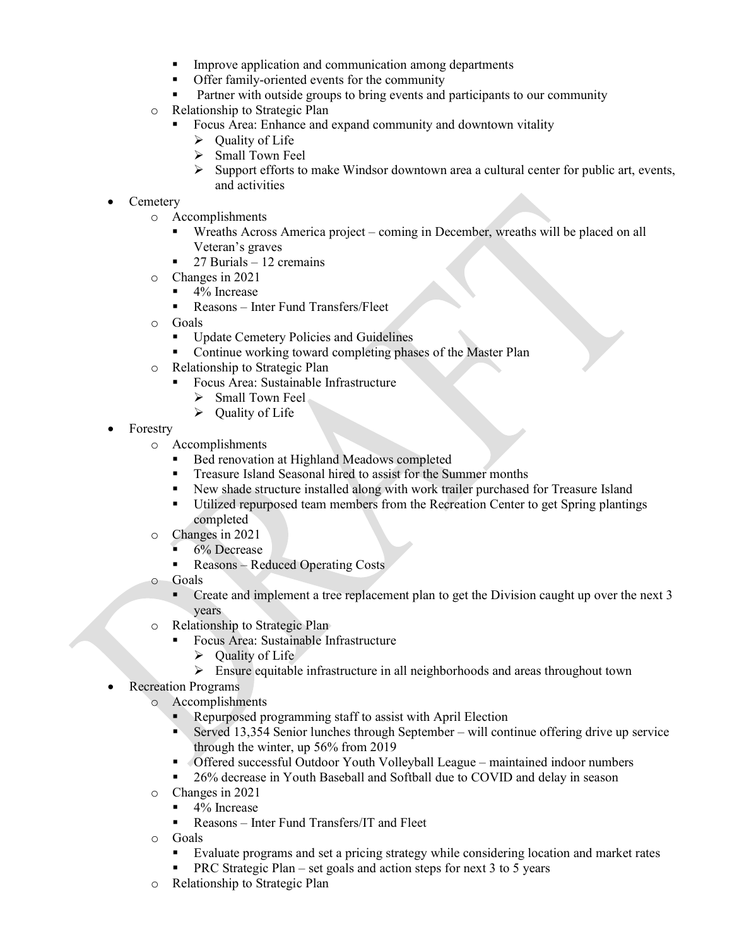- **IMPROVE Application and communication among departments**
- Offer family-oriented events for the community
- Partner with outside groups to bring events and participants to our community
- o Relationship to Strategic Plan
	- Focus Area: Enhance and expand community and downtown vitality
		- $\triangleright$  Ouality of Life
		- $\triangleright$  Small Town Feel
		- $\triangleright$  Support efforts to make Windsor downtown area a cultural center for public art, events, and activities
- **Cemetery** 
	- o Accomplishments
		- Wreaths Across America project coming in December, wreaths will be placed on all Veteran's graves
		- $\blacksquare$  27 Burials 12 cremains
	- o Changes in 2021
		- $\blacksquare$  4% Increase
		- Reasons Inter Fund Transfers/Fleet
	- o Goals
		- **Update Cemetery Policies and Guidelines**
		- Continue working toward completing phases of the Master Plan
	- o Relationship to Strategic Plan
		- Focus Area: Sustainable Infrastructure
			- $\triangleright$  Small Town Feel
			- $\triangleright$  Quality of Life
- Forestry
	- o Accomplishments
		- Bed renovation at Highland Meadows completed
		- Treasure Island Seasonal hired to assist for the Summer months
		- New shade structure installed along with work trailer purchased for Treasure Island
		- Utilized repurposed team members from the Recreation Center to get Spring plantings completed
	- o Changes in 2021
		- 6% Decrease
		- Reasons Reduced Operating Costs
	- o Goals
		- Create and implement a tree replacement plan to get the Division caught up over the next 3 years
	- o Relationship to Strategic Plan
		- Focus Area: Sustainable Infrastructure
			- $\triangleright$  Ouality of Life
			- Ensure equitable infrastructure in all neighborhoods and areas throughout town
	- Recreation Programs
		- o Accomplishments
			- Repurposed programming staff to assist with April Election
			- Served 13,354 Senior lunches through September will continue offering drive up service through the winter, up 56% from 2019
			- Offered successful Outdoor Youth Volleyball League maintained indoor numbers
			- 26% decrease in Youth Baseball and Softball due to COVID and delay in season
		- o Changes in 2021
			- $\blacksquare$  4% Increase
			- Reasons Inter Fund Transfers/IT and Fleet
		- o Goals
			- Evaluate programs and set a pricing strategy while considering location and market rates
			- PRC Strategic Plan set goals and action steps for next 3 to 5 years
		- o Relationship to Strategic Plan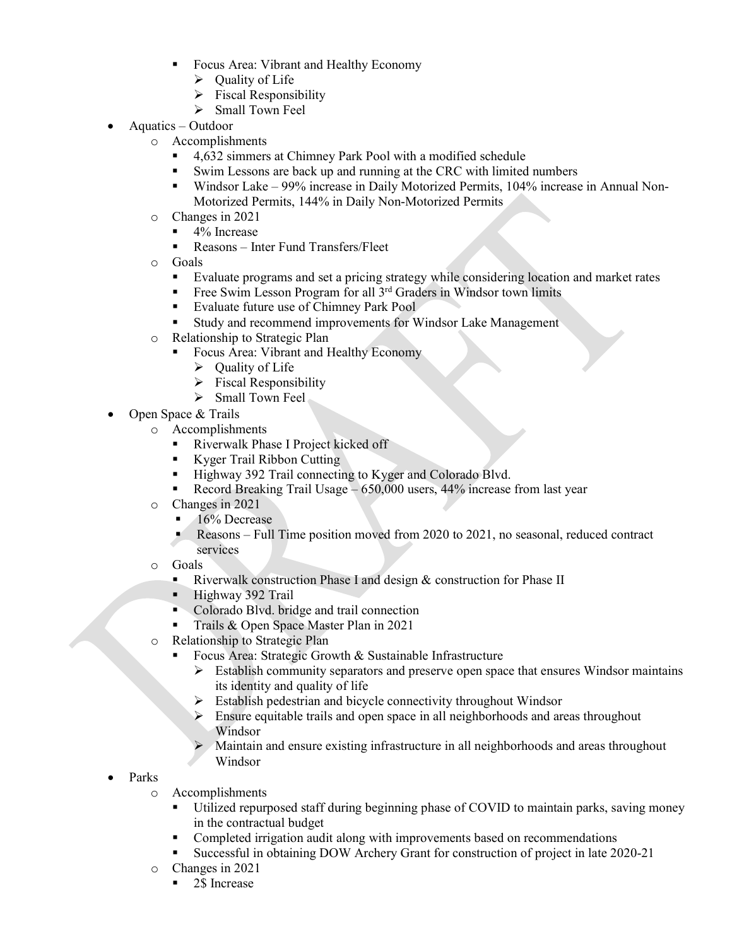- Focus Area: Vibrant and Healthy Economy
	- $\triangleright$  Quality of Life
	- $\triangleright$  Fiscal Responsibility
	- $\triangleright$  Small Town Feel
- Aquatics Outdoor
	- $\circ$  Accomplishments
		- 4,632 simmers at Chimney Park Pool with a modified schedule
		- Swim Lessons are back up and running at the CRC with limited numbers
		- Windsor Lake 99% increase in Daily Motorized Permits, 104% increase in Annual Non-Motorized Permits, 144% in Daily Non-Motorized Permits
	- o Changes in 2021
		- $\blacksquare$  4% Increase
			- Reasons Inter Fund Transfers/Fleet
	- $\circ$  Goals
		- Evaluate programs and set a pricing strategy while considering location and market rates
		- Free Swim Lesson Program for all  $3^{rd}$  Graders in Windsor town limits
		- Evaluate future use of Chimney Park Pool
		- Study and recommend improvements for Windsor Lake Management
	- o Relationship to Strategic Plan
		- Focus Area: Vibrant and Healthy Economy
		- $\triangleright$  Quality of Life
		- $\triangleright$  Fiscal Responsibility
		- $\triangleright$  Small Town Feel
- Open Space & Trails
	- o Accomplishments
		- Riverwalk Phase I Project kicked off
		- Kyger Trail Ribbon Cutting
		- Highway 392 Trail connecting to Kyger and Colorado Blvd.
		- Record Breaking Trail Usage 650,000 users, 44% increase from last year
	- o Changes in 2021
		- $\blacksquare$  16% Decrease<br>Reasons Full
		- Reasons Full Time position moved from 2020 to 2021, no seasonal, reduced contract services
	- o Goals
		- Riverwalk construction Phase I and design & construction for Phase II
		- Highway 392 Trail<br>Colorado Blyd brig
		- Colorado Blvd. bridge and trail connection
		- Trails & Open Space Master Plan in 2021
	- o Relationship to Strategic Plan
		- Focus Area: Strategic Growth & Sustainable Infrastructure
			- $\triangleright$  Establish community separators and preserve open space that ensures Windsor maintains its identity and quality of life
			- $\triangleright$  Establish pedestrian and bicycle connectivity throughout Windsor
			- Ensure equitable trails and open space in all neighborhoods and areas throughout Windsor
			- Maintain and ensure existing infrastructure in all neighborhoods and areas throughout Windsor
- Parks
	- o Accomplishments
		- Utilized repurposed staff during beginning phase of COVID to maintain parks, saving money in the contractual budget
		- Completed irrigation audit along with improvements based on recommendations
		- Successful in obtaining DOW Archery Grant for construction of project in late 2020-21
	- o Changes in 2021
		- 2\$ Increase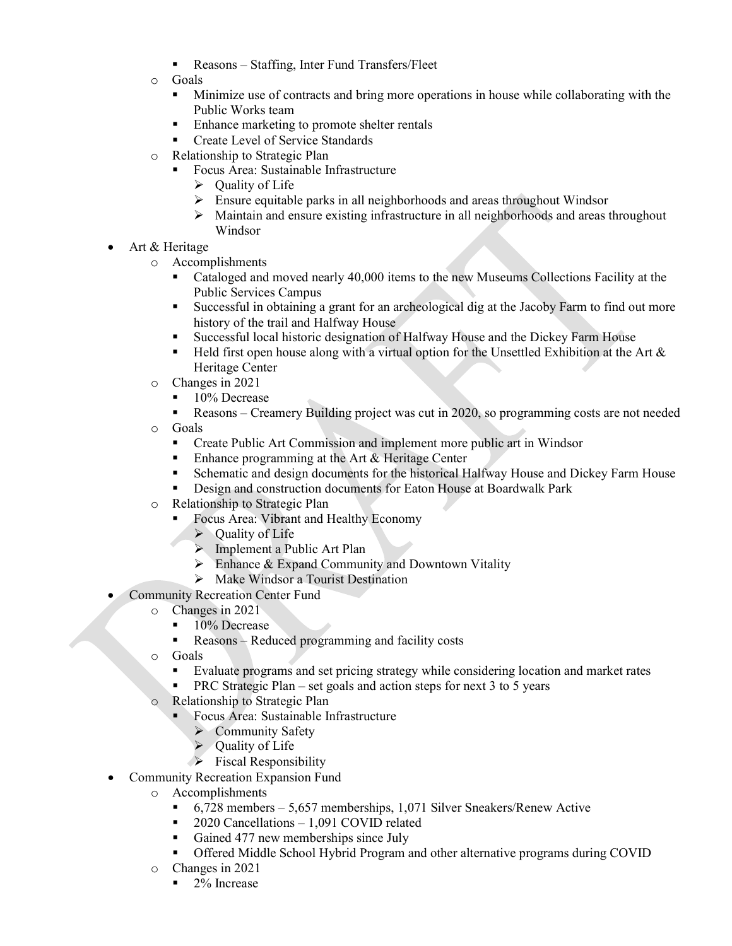- Reasons Staffing, Inter Fund Transfers/Fleet
- o Goals
	- Minimize use of contracts and bring more operations in house while collaborating with the Public Works team
	- Enhance marketing to promote shelter rentals
	- **Create Level of Service Standards**
- o Relationship to Strategic Plan
	- Focus Area: Sustainable Infrastructure
		- $\triangleright$  Ouality of Life
		- $\triangleright$  Ensure equitable parks in all neighborhoods and areas throughout Windsor
		- Maintain and ensure existing infrastructure in all neighborhoods and areas throughout Windsor
- Art & Heritage
	- o Accomplishments
		- Cataloged and moved nearly 40,000 items to the new Museums Collections Facility at the Public Services Campus
		- Successful in obtaining a grant for an archeological dig at the Jacoby Farm to find out more history of the trail and Halfway House
		- Successful local historic designation of Halfway House and the Dickey Farm House
		- **Held first open house along with a virtual option for the Unsettled Exhibition at the Art**  $\&$ Heritage Center
	- o Changes in 2021
		- $\blacksquare$  10% Decrease
		- Reasons Creamery Building project was cut in 2020, so programming costs are not needed
	- $\circ$  Goals<br> $\bullet$  C<sub>1</sub>
		- Create Public Art Commission and implement more public art in Windsor
		- Enhance programming at the Art & Heritage Center
		- **Schematic and design documents for the historical Halfway House and Dickey Farm House**
		- **EXECUTE:** Design and construction documents for Eaton House at Boardwalk Park
	- o Relationship to Strategic Plan
		- Focus Area: Vibrant and Healthy Economy
			- $\triangleright$  Ouality of Life
			- > Implement a Public Art Plan
			- $\triangleright$  Enhance & Expand Community and Downtown Vitality
			- $\triangleright$  Make Windsor a Tourist Destination
- Community Recreation Center Fund
	- o Changes in 2021
		- $10\%$  Decrease
		- Reasons Reduced programming and facility costs
	- o Goals
		- Evaluate programs and set pricing strategy while considering location and market rates
		- PRC Strategic Plan set goals and action steps for next 3 to 5 years
	- o Relationship to Strategic Plan
		- Focus Area: Sustainable Infrastructure
			- $\triangleright$  Community Safety
			- $\triangleright$  Quality of Life
			- $\triangleright$  Fiscal Responsibility
- Community Recreation Expansion Fund
	- o Accomplishments
		- $\blacksquare$  6,728 members 5,657 memberships, 1,071 Silver Sneakers/Renew Active
		- 2020 Cancellations 1,091 COVID related
		- Gained 477 new memberships since July
		- Offered Middle School Hybrid Program and other alternative programs during COVID
	- o Changes in 2021
		- $\blacksquare$  2% Increase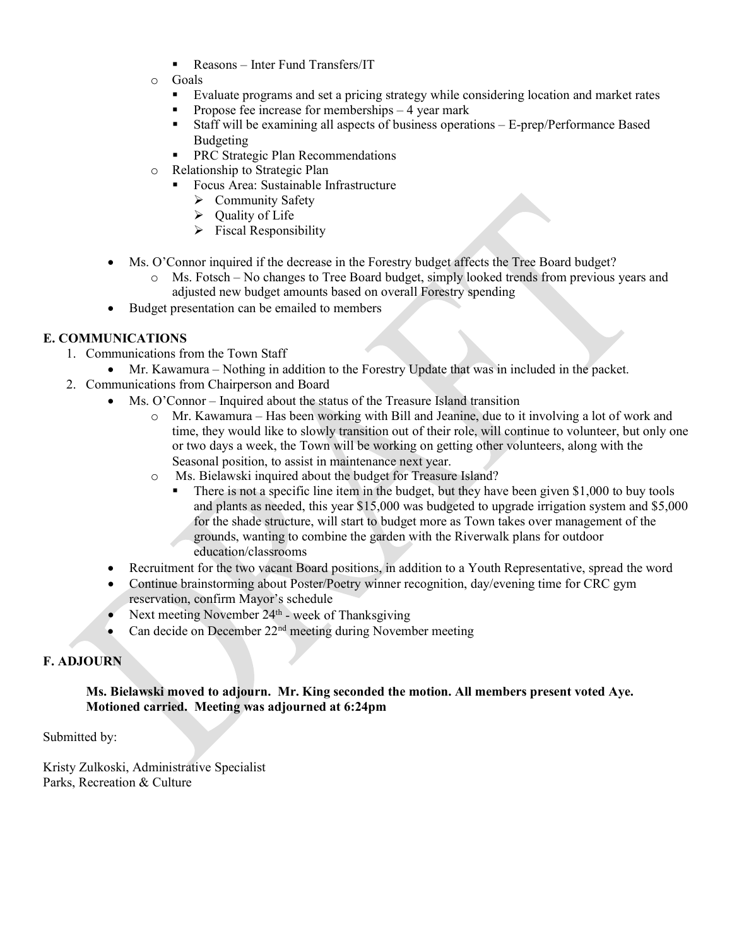- Reasons Inter Fund Transfers/IT
- o Goals
	- Evaluate programs and set a pricing strategy while considering location and market rates
	- **Propose fee increase for memberships**  $-4$  **year mark**
	- Staff will be examining all aspects of business operations E-prep/Performance Based Budgeting
	- **PRC Strategic Plan Recommendations**
- o Relationship to Strategic Plan
	- Focus Area: Sustainable Infrastructure
		- $\triangleright$  Community Safety
		- $\triangleright$  Quality of Life
		- $\triangleright$  Fiscal Responsibility
- Ms. O'Connor inquired if the decrease in the Forestry budget affects the Tree Board budget?
	- o Ms. Fotsch No changes to Tree Board budget, simply looked trends from previous years and adjusted new budget amounts based on overall Forestry spending
- Budget presentation can be emailed to members

## **E. COMMUNICATIONS**

- 1. Communications from the Town Staff
	- Mr. Kawamura Nothing in addition to the Forestry Update that was in included in the packet.
- 2. Communications from Chairperson and Board
	- Ms. O'Connor Inquired about the status of the Treasure Island transition
		- o Mr. Kawamura Has been working with Bill and Jeanine, due to it involving a lot of work and time, they would like to slowly transition out of their role, will continue to volunteer, but only one or two days a week, the Town will be working on getting other volunteers, along with the Seasonal position, to assist in maintenance next year.
		- o Ms. Bielawski inquired about the budget for Treasure Island?
			- There is not a specific line item in the budget, but they have been given \$1,000 to buy tools and plants as needed, this year \$15,000 was budgeted to upgrade irrigation system and \$5,000 for the shade structure, will start to budget more as Town takes over management of the grounds, wanting to combine the garden with the Riverwalk plans for outdoor education/classrooms
	- Recruitment for the two vacant Board positions, in addition to a Youth Representative, spread the word
	- Continue brainstorming about Poster/Poetry winner recognition, day/evening time for CRC gym reservation, confirm Mayor's schedule
	- Next meeting November  $24<sup>th</sup>$  week of Thanksgiving
	- Can decide on December 22<sup>nd</sup> meeting during November meeting

## **F. ADJOURN**

#### **Ms. Bielawski moved to adjourn. Mr. King seconded the motion. All members present voted Aye. Motioned carried. Meeting was adjourned at 6:24pm**

Submitted by:

Kristy Zulkoski, Administrative Specialist Parks, Recreation & Culture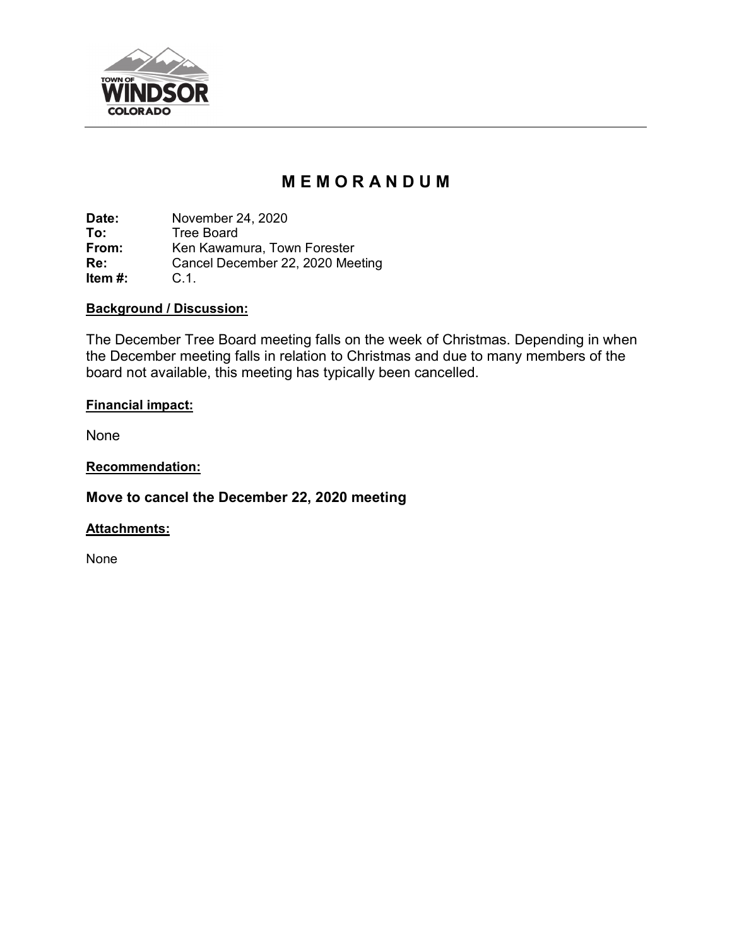

# **M E M O R A N D U M**

**Date:** November 24, 2020<br> **To:** Tree Board **To:** Tree Board<br> **From:** Ken Kawam **From:** Ken Kawamura, Town Forester<br> **Re:** Cancel December 22, 2020 Mee Cancel December 22, 2020 Meeting C.1. **Item #:** 

## **Background / Discussion:**

The December Tree Board meeting falls on the week of Christmas. Depending in when the December meeting falls in relation to Christmas and due to many members of the board not available, this meeting has typically been cancelled.

## **Financial impact:**

None

**Recommendation:**

**Move to cancel the December 22, 2020 meeting**

## **Attachments:**

None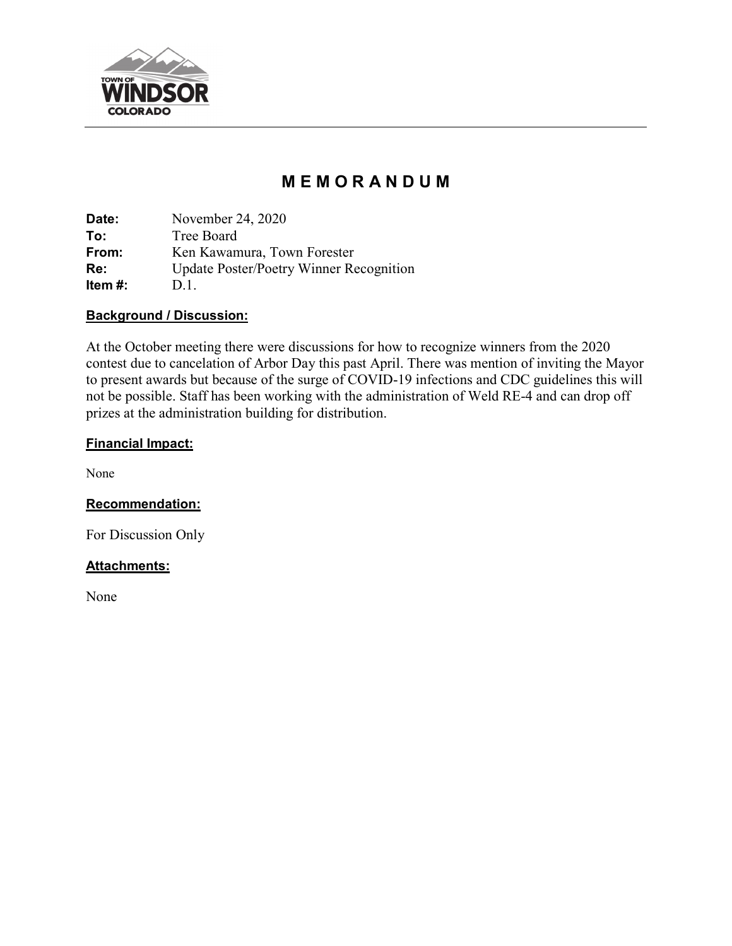

# **M E M O R A N D U M**

**Date:** November 24, 2020 **To:** Tree Board **From:** Ken Kawamura, Town Forester **Re:** Update Poster/Poetry Winner Recognition **Item #:** D.1.

## **Background / Discussion:**

At the October meeting there were discussions for how to recognize winners from the 2020 contest due to cancelation of Arbor Day this past April. There was mention of inviting the Mayor to present awards but because of the surge of COVID-19 infections and CDC guidelines this will not be possible. Staff has been working with the administration of Weld RE-4 and can drop off prizes at the administration building for distribution.

## **Financial Impact:**

None

## **Recommendation:**

For Discussion Only

## **Attachments:**

None